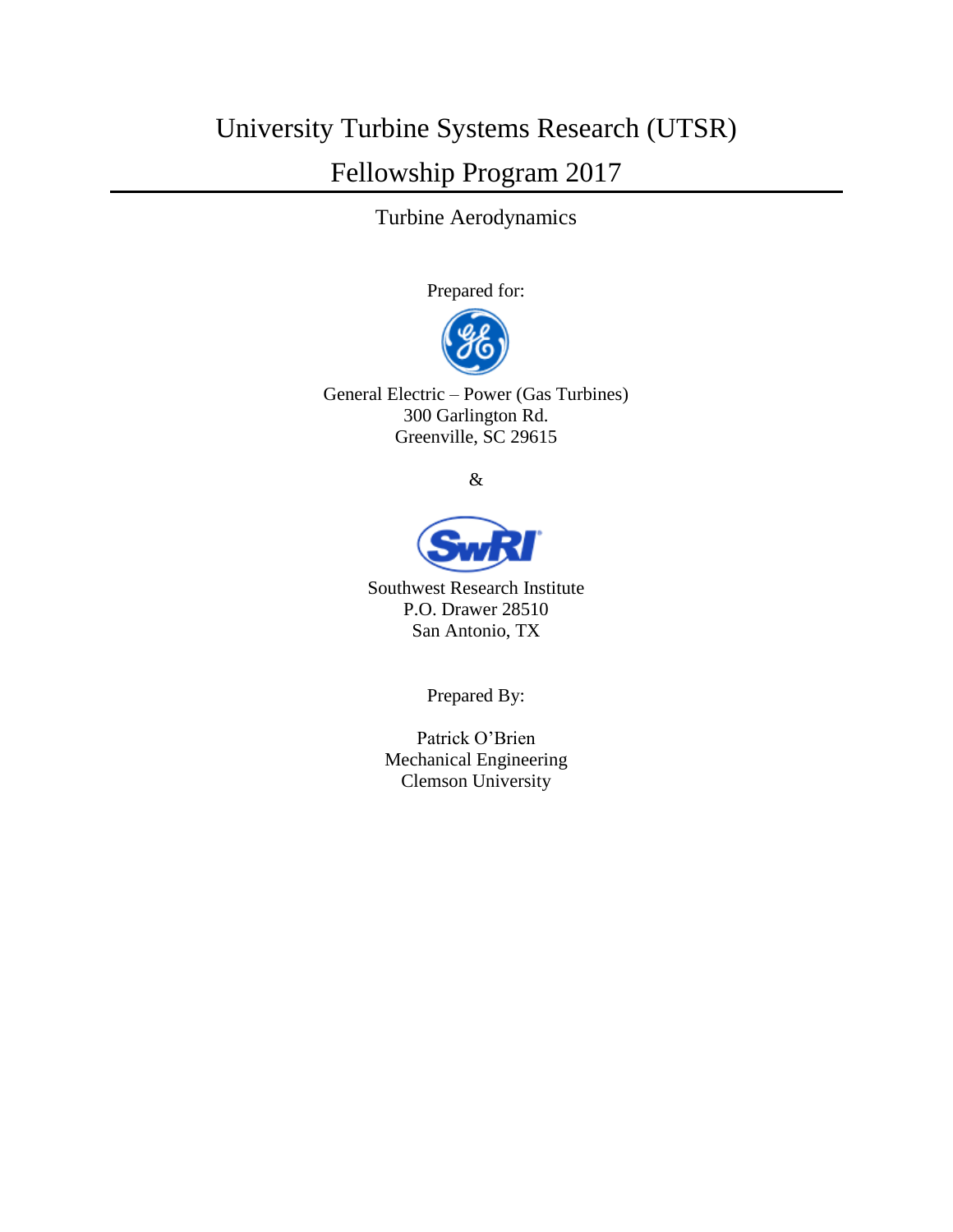# University Turbine Systems Research (UTSR) Fellowship Program 2017

Turbine Aerodynamics

Prepared for:



General Electric – Power (Gas Turbines) 300 Garlington Rd. Greenville, SC 29615

&



Southwest Research Institute P.O. Drawer 28510 San Antonio, TX

Prepared By:

Patrick O'Brien Mechanical Engineering Clemson University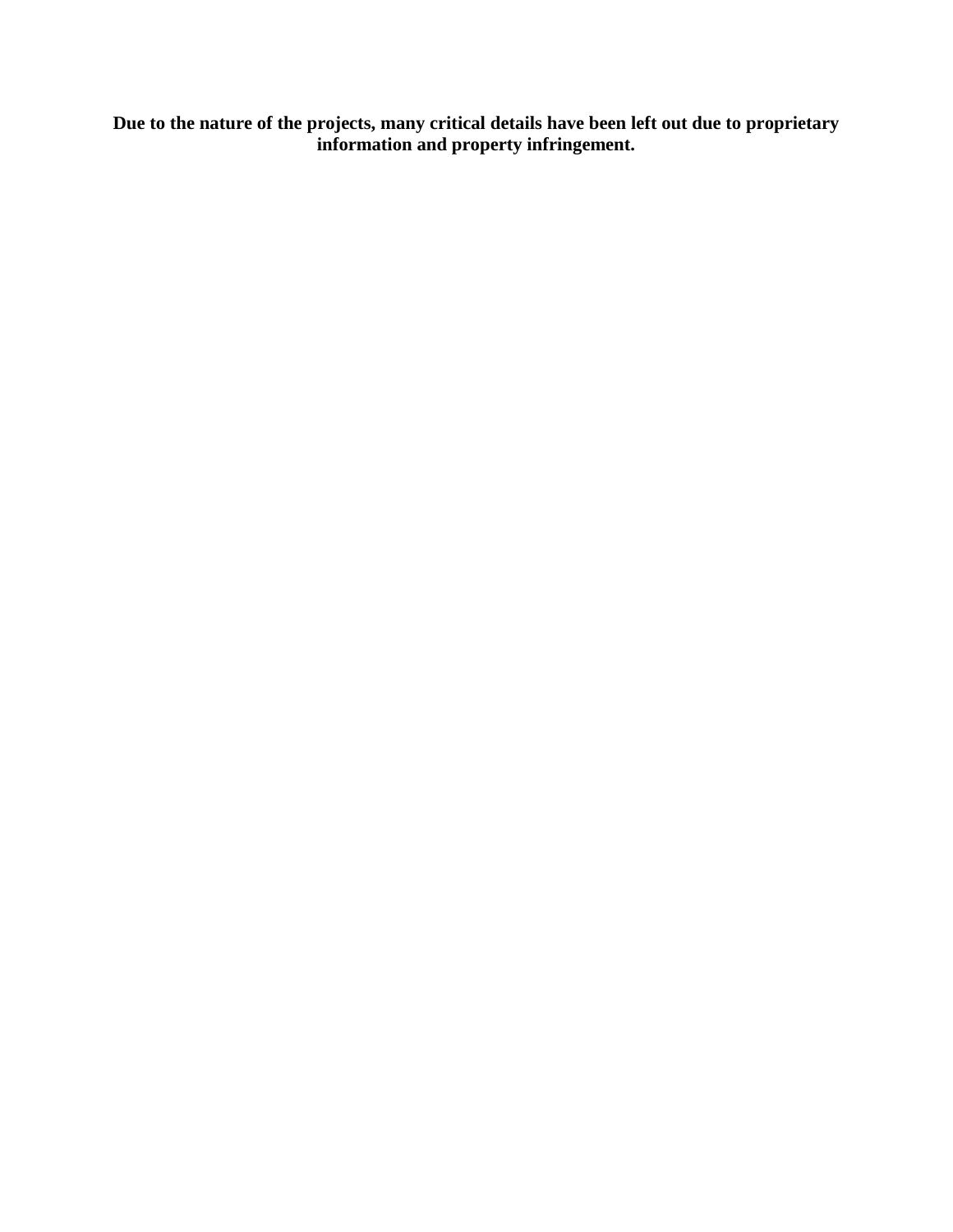**Due to the nature of the projects, many critical details have been left out due to proprietary information and property infringement.**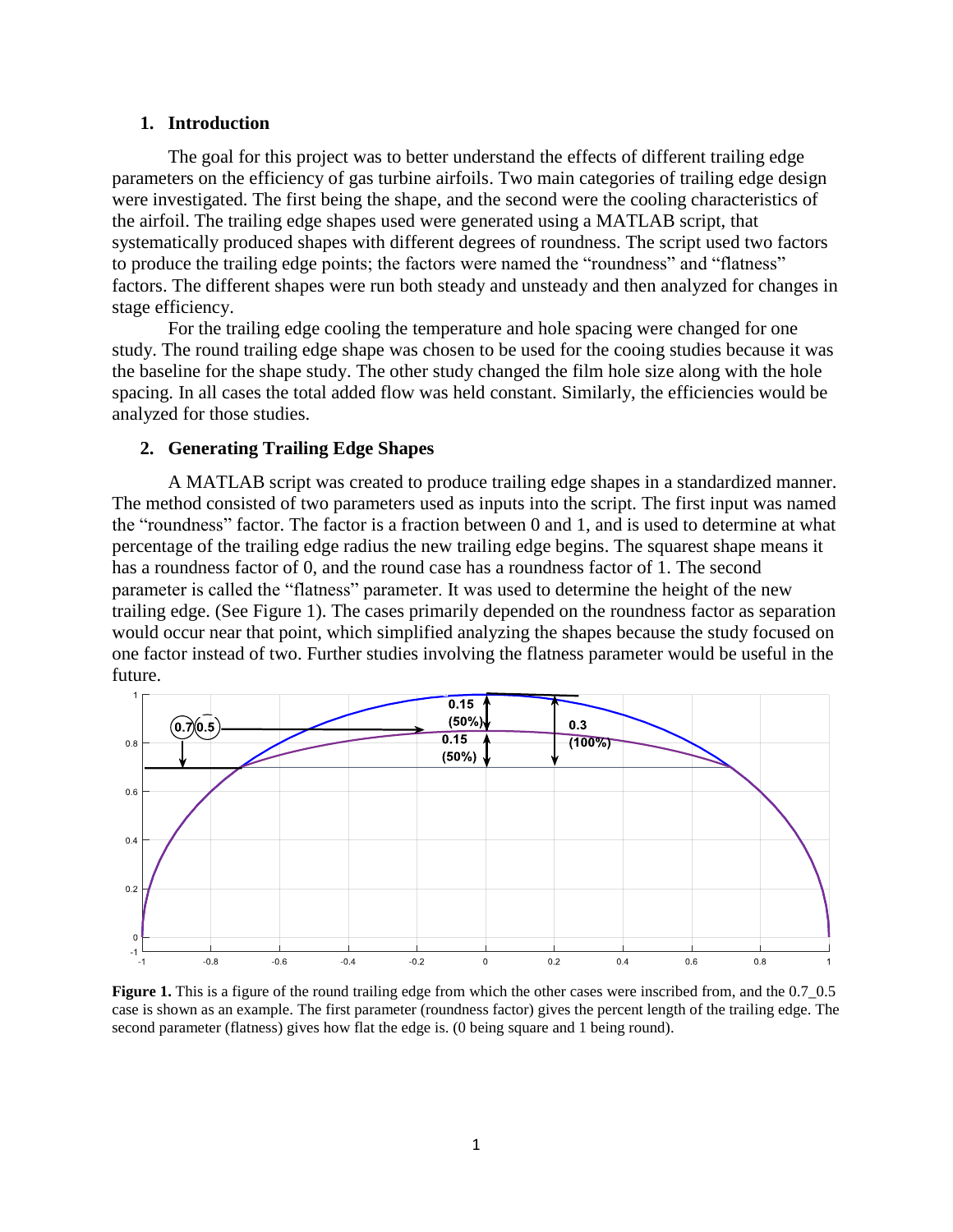#### **1. Introduction**

The goal for this project was to better understand the effects of different trailing edge parameters on the efficiency of gas turbine airfoils. Two main categories of trailing edge design were investigated. The first being the shape, and the second were the cooling characteristics of the airfoil. The trailing edge shapes used were generated using a MATLAB script, that systematically produced shapes with different degrees of roundness. The script used two factors to produce the trailing edge points; the factors were named the "roundness" and "flatness" factors. The different shapes were run both steady and unsteady and then analyzed for changes in stage efficiency.

For the trailing edge cooling the temperature and hole spacing were changed for one study. The round trailing edge shape was chosen to be used for the cooing studies because it was the baseline for the shape study. The other study changed the film hole size along with the hole spacing. In all cases the total added flow was held constant. Similarly, the efficiencies would be analyzed for those studies.

#### **2. Generating Trailing Edge Shapes**

A MATLAB script was created to produce trailing edge shapes in a standardized manner. The method consisted of two parameters used as inputs into the script. The first input was named the "roundness" factor. The factor is a fraction between 0 and 1, and is used to determine at what percentage of the trailing edge radius the new trailing edge begins. The squarest shape means it has a roundness factor of 0, and the round case has a roundness factor of 1. The second parameter is called the "flatness" parameter. It was used to determine the height of the new trailing edge. (See Figure 1). The cases primarily depended on the roundness factor as separation would occur near that point, which simplified analyzing the shapes because the study focused on one factor instead of two. Further studies involving the flatness parameter would be useful in the future.



**Figure 1.** This is a figure of the round trailing edge from which the other cases were inscribed from, and the  $0.7\_0.5$ case is shown as an example. The first parameter (roundness factor) gives the percent length of the trailing edge. The second parameter (flatness) gives how flat the edge is. (0 being square and 1 being round).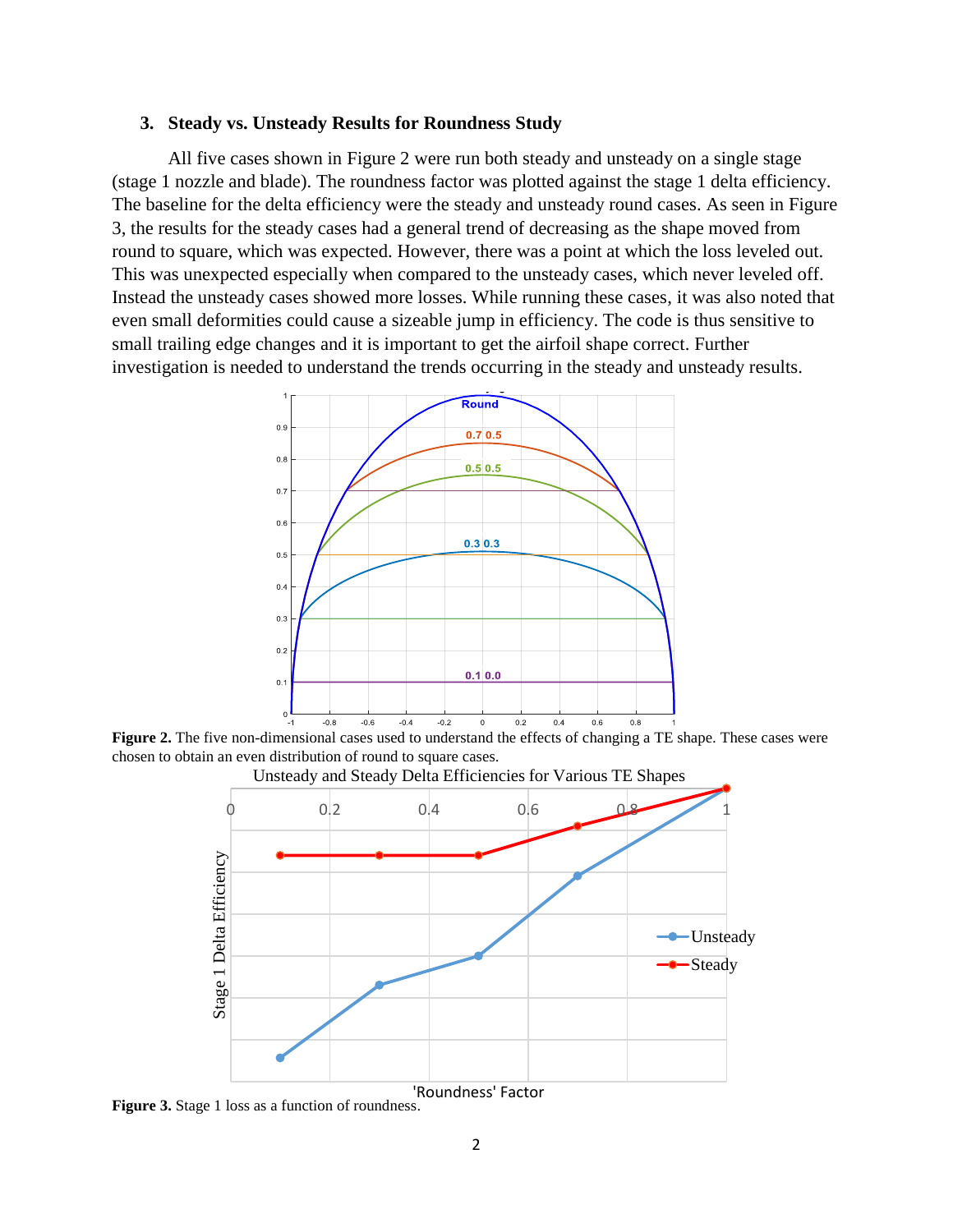#### **3. Steady vs. Unsteady Results for Roundness Study**

All five cases shown in Figure 2 were run both steady and unsteady on a single stage (stage 1 nozzle and blade). The roundness factor was plotted against the stage 1 delta efficiency. The baseline for the delta efficiency were the steady and unsteady round cases. As seen in Figure 3, the results for the steady cases had a general trend of decreasing as the shape moved from round to square, which was expected. However, there was a point at which the loss leveled out. This was unexpected especially when compared to the unsteady cases, which never leveled off. Instead the unsteady cases showed more losses. While running these cases, it was also noted that even small deformities could cause a sizeable jump in efficiency. The code is thus sensitive to small trailing edge changes and it is important to get the airfoil shape correct. Further investigation is needed to understand the trends occurring in the steady and unsteady results.



**Figure 2.** The five non-dimensional cases used to understand the effects of changing a TE shape. These cases were chosen to obtain an even distribution of round to square cases.



**Figure 3.** Stage 1 loss as a function of roundness.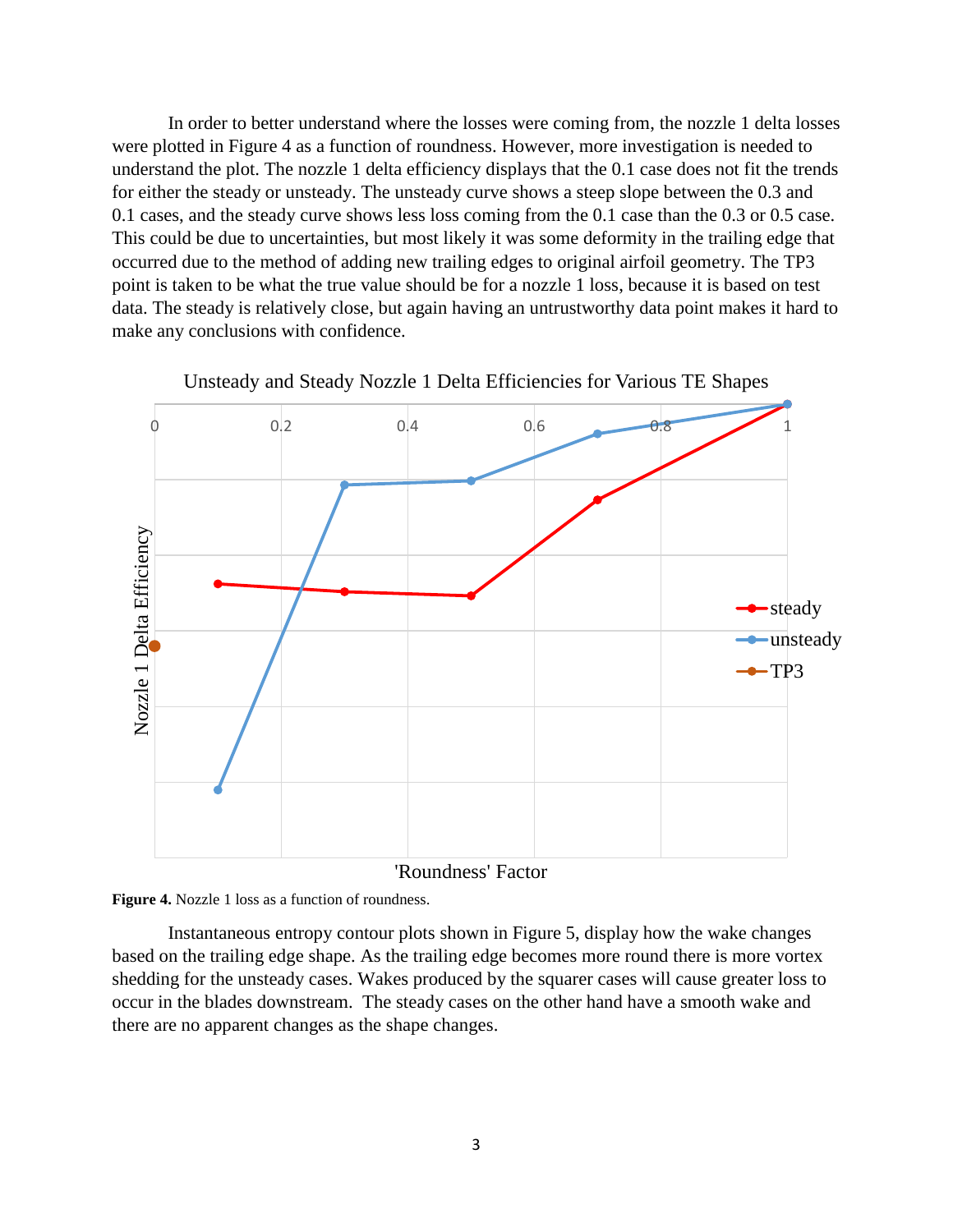In order to better understand where the losses were coming from, the nozzle 1 delta losses were plotted in Figure 4 as a function of roundness. However, more investigation is needed to understand the plot. The nozzle 1 delta efficiency displays that the 0.1 case does not fit the trends for either the steady or unsteady. The unsteady curve shows a steep slope between the 0.3 and 0.1 cases, and the steady curve shows less loss coming from the 0.1 case than the 0.3 or 0.5 case. This could be due to uncertainties, but most likely it was some deformity in the trailing edge that occurred due to the method of adding new trailing edges to original airfoil geometry. The TP3 point is taken to be what the true value should be for a nozzle 1 loss, because it is based on test data. The steady is relatively close, but again having an untrustworthy data point makes it hard to make any conclusions with confidence.





'Roundness' Factor



Instantaneous entropy contour plots shown in Figure 5, display how the wake changes based on the trailing edge shape. As the trailing edge becomes more round there is more vortex shedding for the unsteady cases. Wakes produced by the squarer cases will cause greater loss to occur in the blades downstream. The steady cases on the other hand have a smooth wake and there are no apparent changes as the shape changes.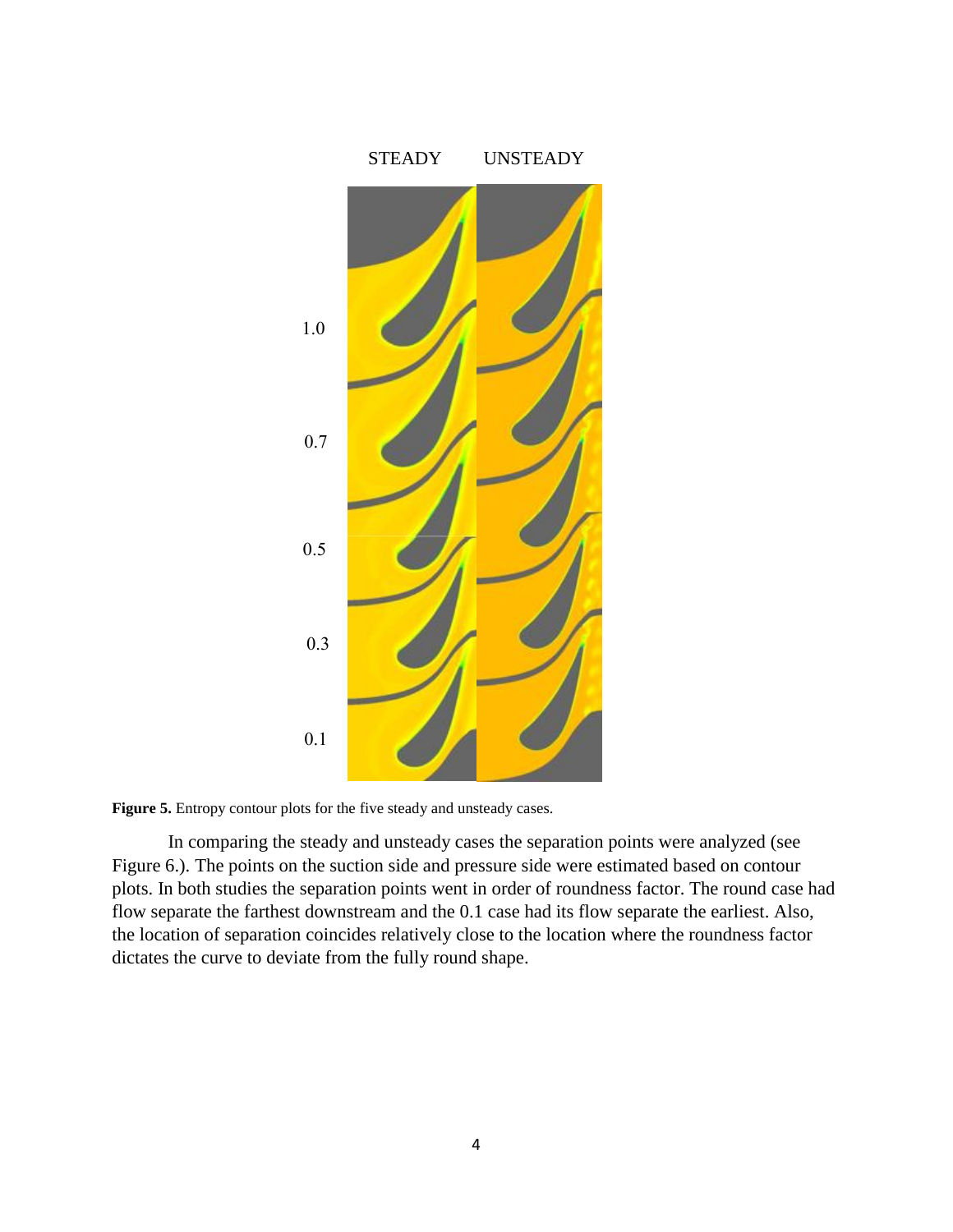

Figure 5. Entropy contour plots for the five steady and unsteady cases.

In comparing the steady and unsteady cases the separation points were analyzed (see Figure 6.). The points on the suction side and pressure side were estimated based on contour plots. In both studies the separation points went in order of roundness factor. The round case had flow separate the farthest downstream and the 0.1 case had its flow separate the earliest. Also, the location of separation coincides relatively close to the location where the roundness factor dictates the curve to deviate from the fully round shape.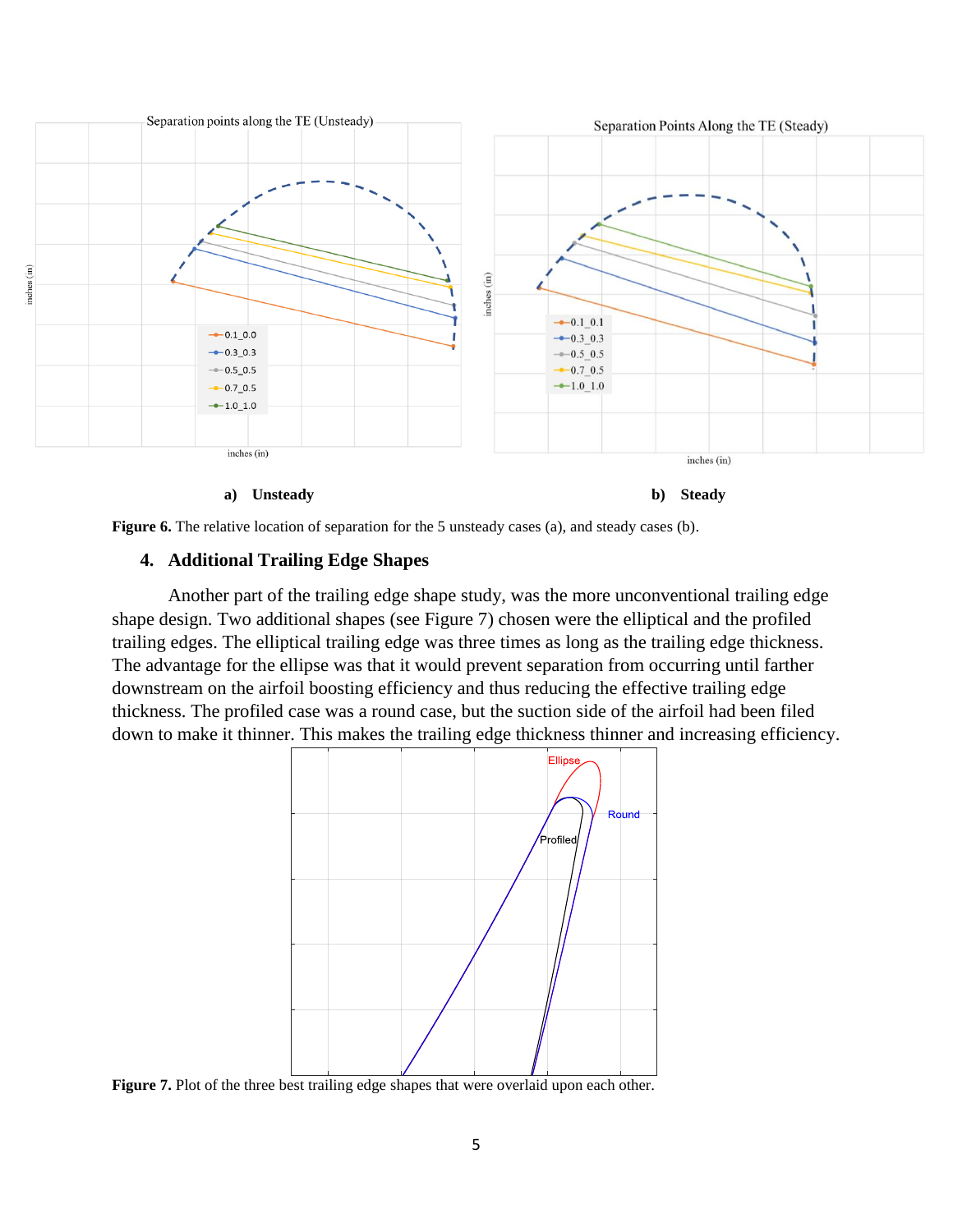



**Figure 6.** The relative location of separation for the 5 unsteady cases (a), and steady cases (b).

## **4. Additional Trailing Edge Shapes**

Another part of the trailing edge shape study, was the more unconventional trailing edge shape design. Two additional shapes (see Figure 7) chosen were the elliptical and the profiled trailing edges. The elliptical trailing edge was three times as long as the trailing edge thickness. The advantage for the ellipse was that it would prevent separation from occurring until farther downstream on the airfoil boosting efficiency and thus reducing the effective trailing edge thickness. The profiled case was a round case, but the suction side of the airfoil had been filed down to make it thinner. This makes the trailing edge thickness thinner and increasing efficiency.



**Figure 7.** Plot of the three best trailing edge shapes that were overlaid upon each other.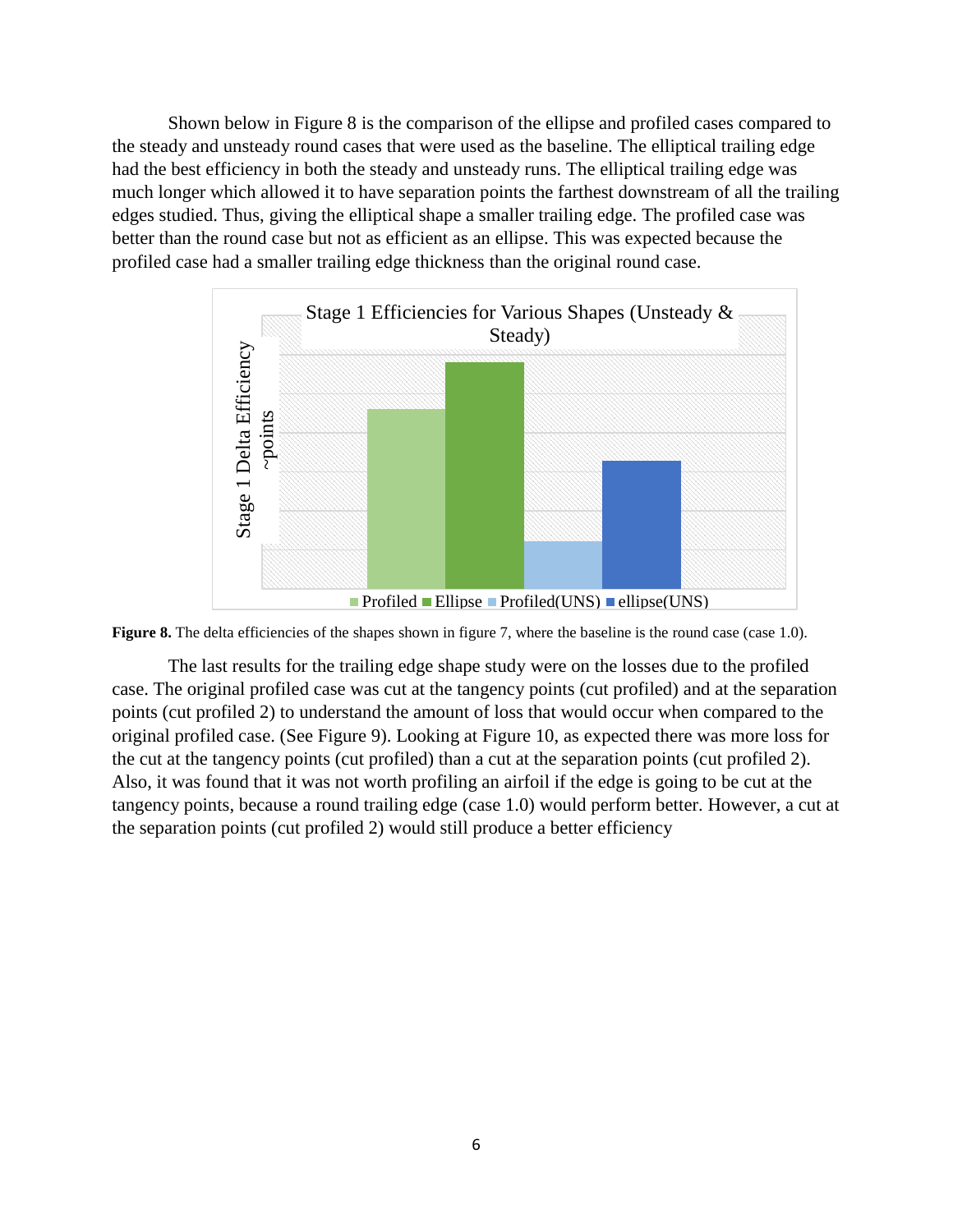Shown below in Figure 8 is the comparison of the ellipse and profiled cases compared to the steady and unsteady round cases that were used as the baseline. The elliptical trailing edge had the best efficiency in both the steady and unsteady runs. The elliptical trailing edge was much longer which allowed it to have separation points the farthest downstream of all the trailing edges studied. Thus, giving the elliptical shape a smaller trailing edge. The profiled case was better than the round case but not as efficient as an ellipse. This was expected because the profiled case had a smaller trailing edge thickness than the original round case.



**Figure 8.** The delta efficiencies of the shapes shown in figure 7, where the baseline is the round case (case 1.0).

The last results for the trailing edge shape study were on the losses due to the profiled case. The original profiled case was cut at the tangency points (cut profiled) and at the separation points (cut profiled 2) to understand the amount of loss that would occur when compared to the original profiled case. (See Figure 9). Looking at Figure 10, as expected there was more loss for the cut at the tangency points (cut profiled) than a cut at the separation points (cut profiled 2). Also, it was found that it was not worth profiling an airfoil if the edge is going to be cut at the tangency points, because a round trailing edge (case 1.0) would perform better. However, a cut at the separation points (cut profiled 2) would still produce a better efficiency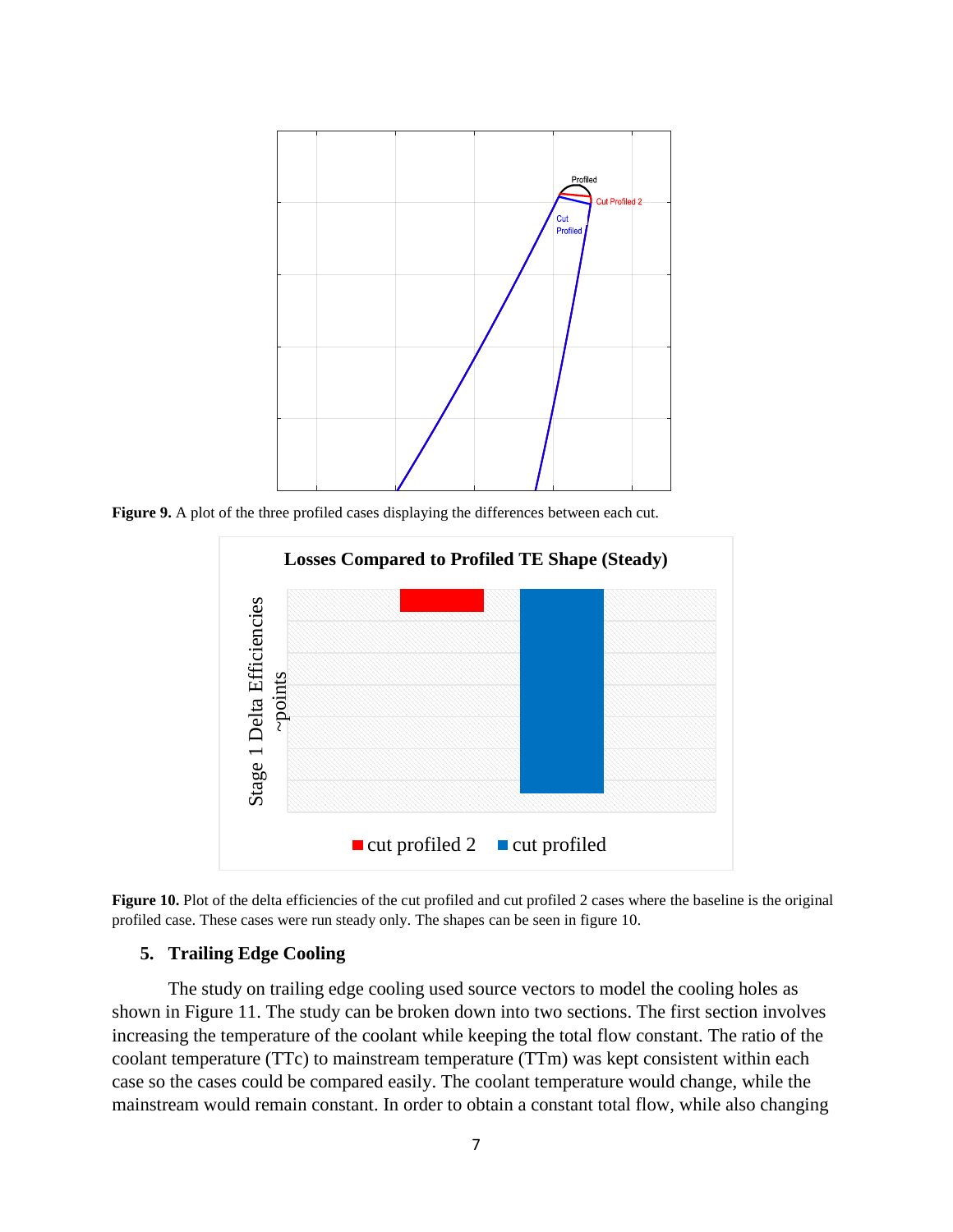

**Figure 9.** A plot of the three profiled cases displaying the differences between each cut.





#### **5. Trailing Edge Cooling**

The study on trailing edge cooling used source vectors to model the cooling holes as shown in Figure 11. The study can be broken down into two sections. The first section involves increasing the temperature of the coolant while keeping the total flow constant. The ratio of the coolant temperature (TTc) to mainstream temperature (TTm) was kept consistent within each case so the cases could be compared easily. The coolant temperature would change, while the mainstream would remain constant. In order to obtain a constant total flow, while also changing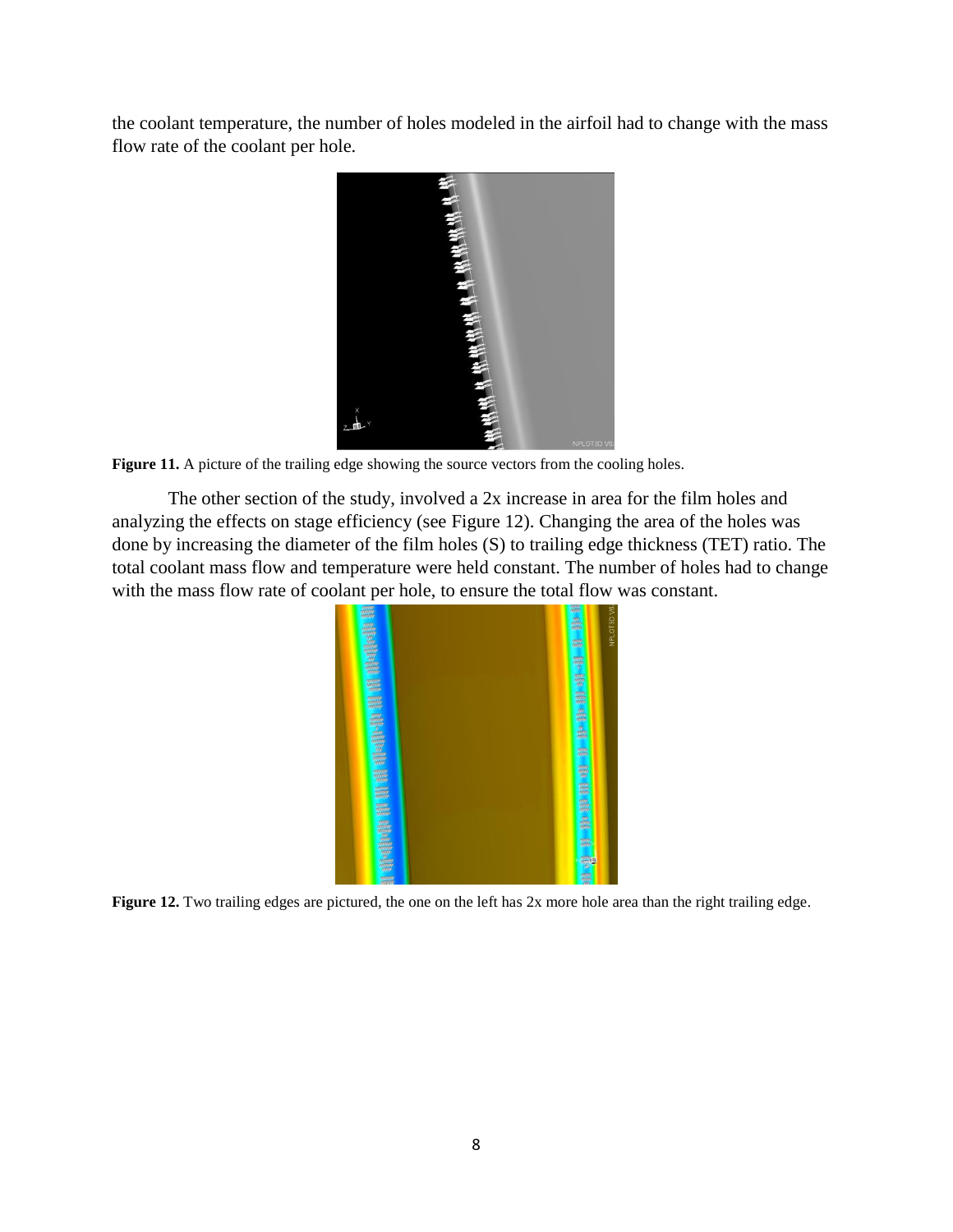the coolant temperature, the number of holes modeled in the airfoil had to change with the mass flow rate of the coolant per hole.



Figure 11. A picture of the trailing edge showing the source vectors from the cooling holes.

The other section of the study, involved a 2x increase in area for the film holes and analyzing the effects on stage efficiency (see Figure 12). Changing the area of the holes was done by increasing the diameter of the film holes (S) to trailing edge thickness (TET) ratio. The total coolant mass flow and temperature were held constant. The number of holes had to change with the mass flow rate of coolant per hole, to ensure the total flow was constant.



**Figure 12.** Two trailing edges are pictured, the one on the left has 2x more hole area than the right trailing edge.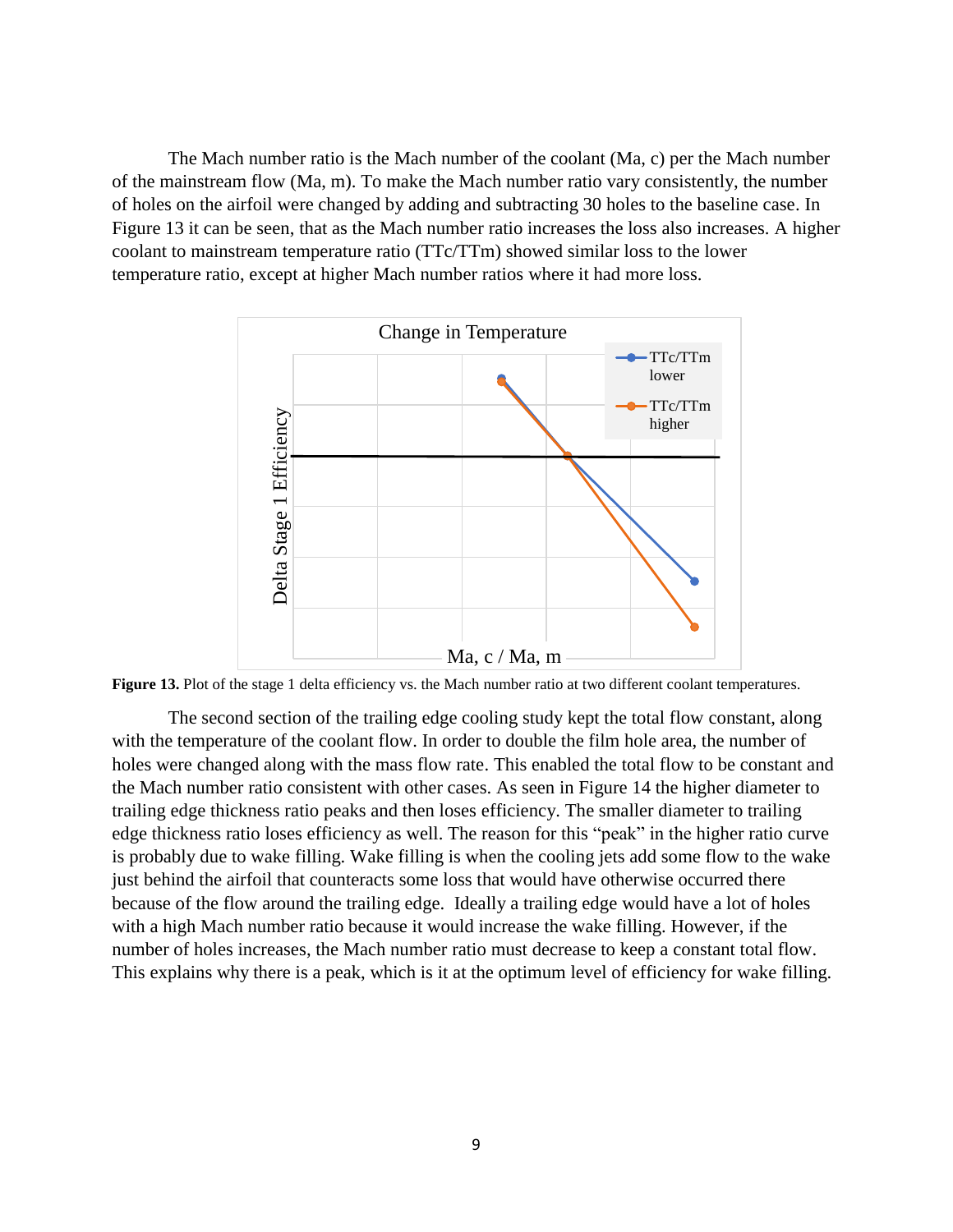The Mach number ratio is the Mach number of the coolant (Ma, c) per the Mach number of the mainstream flow (Ma, m). To make the Mach number ratio vary consistently, the number of holes on the airfoil were changed by adding and subtracting 30 holes to the baseline case. In Figure 13 it can be seen, that as the Mach number ratio increases the loss also increases. A higher coolant to mainstream temperature ratio (TTc/TTm) showed similar loss to the lower temperature ratio, except at higher Mach number ratios where it had more loss.



Figure 13. Plot of the stage 1 delta efficiency vs. the Mach number ratio at two different coolant temperatures.

The second section of the trailing edge cooling study kept the total flow constant, along with the temperature of the coolant flow. In order to double the film hole area, the number of holes were changed along with the mass flow rate. This enabled the total flow to be constant and the Mach number ratio consistent with other cases. As seen in Figure 14 the higher diameter to trailing edge thickness ratio peaks and then loses efficiency. The smaller diameter to trailing edge thickness ratio loses efficiency as well. The reason for this "peak" in the higher ratio curve is probably due to wake filling. Wake filling is when the cooling jets add some flow to the wake just behind the airfoil that counteracts some loss that would have otherwise occurred there because of the flow around the trailing edge. Ideally a trailing edge would have a lot of holes with a high Mach number ratio because it would increase the wake filling. However, if the number of holes increases, the Mach number ratio must decrease to keep a constant total flow. This explains why there is a peak, which is it at the optimum level of efficiency for wake filling.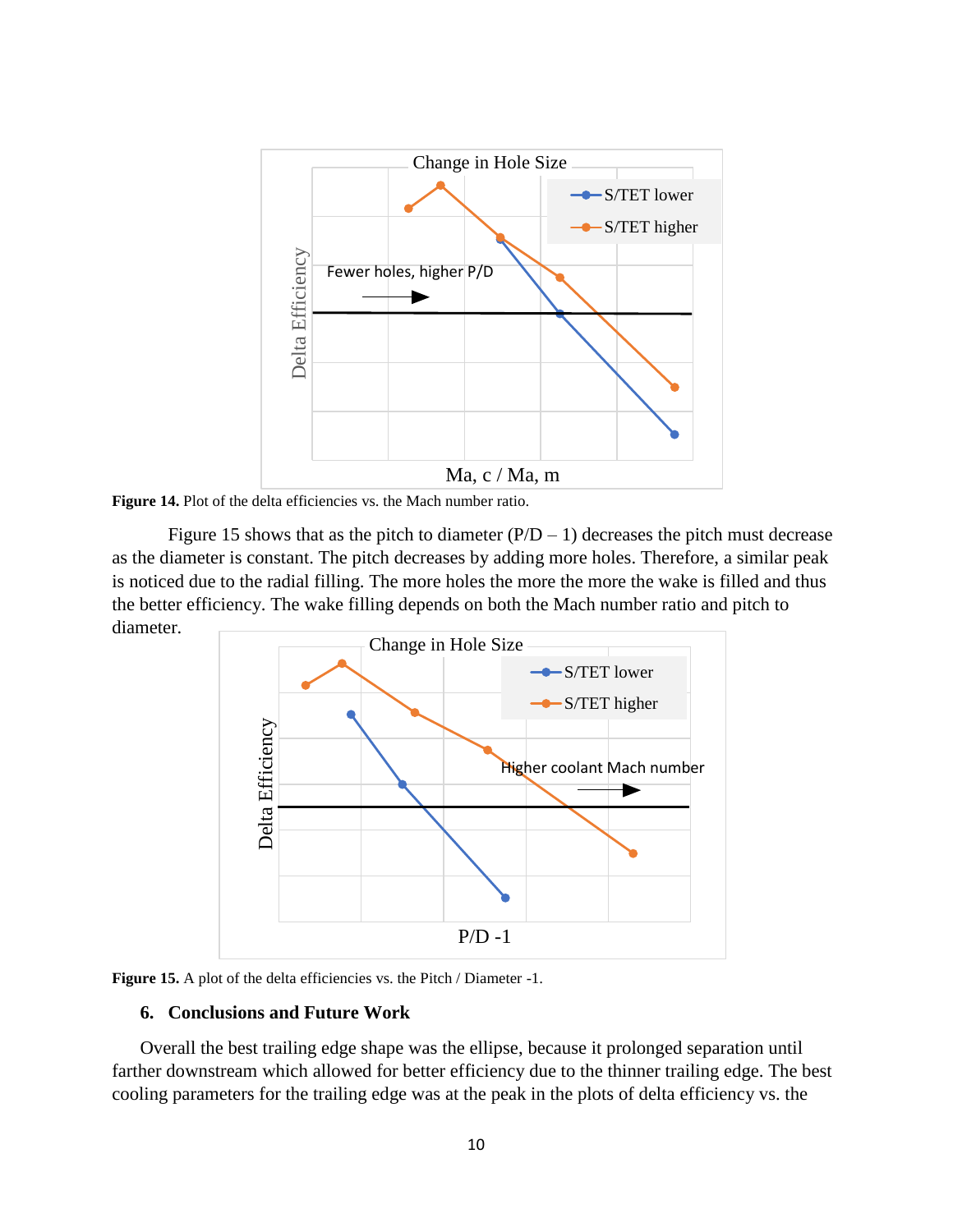

**Figure 14.** Plot of the delta efficiencies vs. the Mach number ratio.

Figure 15 shows that as the pitch to diameter  $(P/D - 1)$  decreases the pitch must decrease as the diameter is constant. The pitch decreases by adding more holes. Therefore, a similar peak is noticed due to the radial filling. The more holes the more the more the wake is filled and thus the better efficiency. The wake filling depends on both the Mach number ratio and pitch to diameter.



Figure 15. A plot of the delta efficiencies vs. the Pitch / Diameter -1.

## **6. Conclusions and Future Work**

Overall the best trailing edge shape was the ellipse, because it prolonged separation until farther downstream which allowed for better efficiency due to the thinner trailing edge. The best cooling parameters for the trailing edge was at the peak in the plots of delta efficiency vs. the